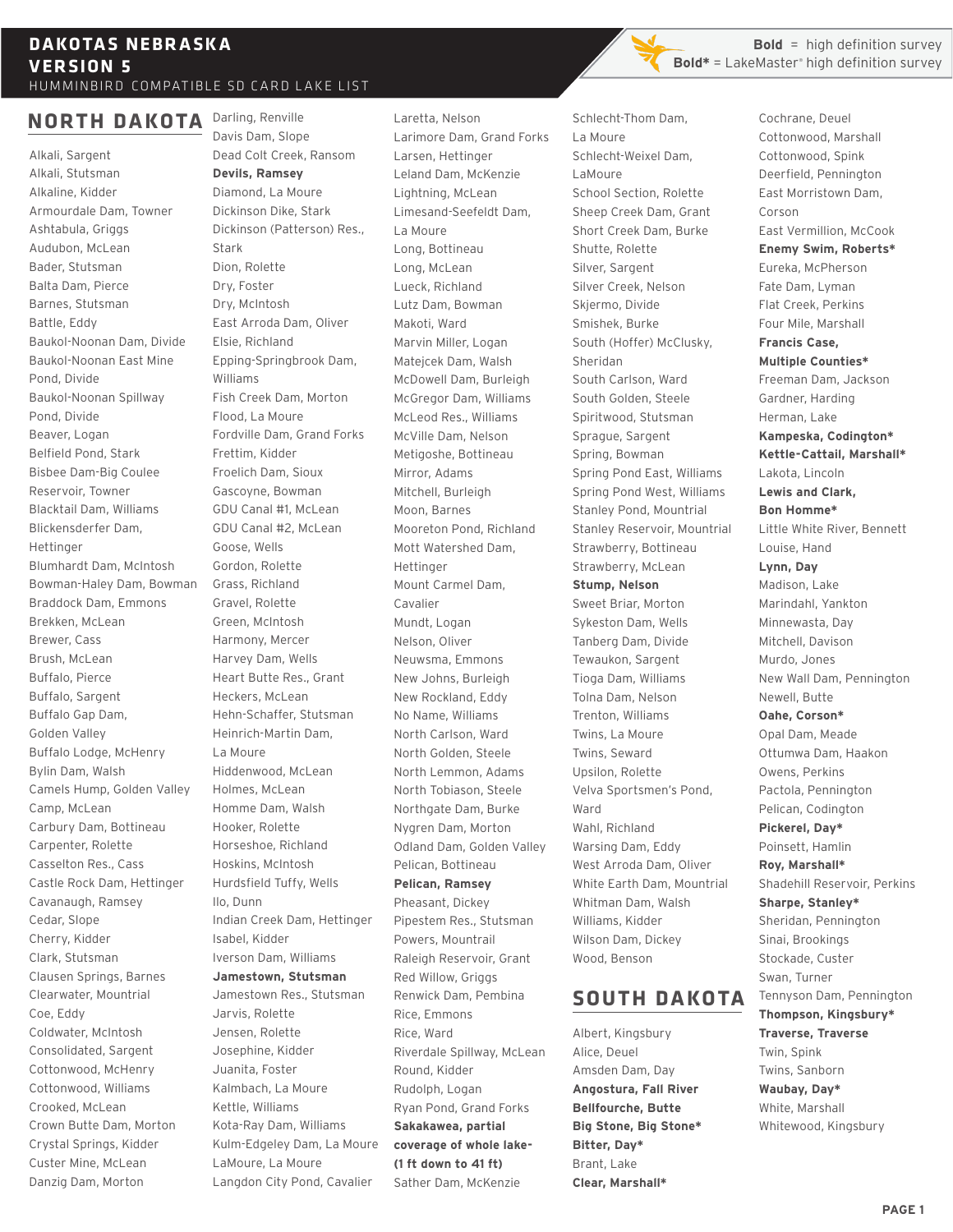#### **NORTH DAKOTA** Darling, Renville

Alkali, Sargent Alkali, Stutsman Alkaline, Kidder Armourdale Dam, Towner Ashtabula, Griggs Audubon, McLean Bader, Stutsman Balta Dam, Pierce Barnes, Stutsman Battle, Eddy Baukol-Noonan Dam, Divide Baukol-Noonan East Mine Pond, Divide Baukol-Noonan Spillway Pond, Divide Beaver, Logan Belfield Pond, Stark Bisbee Dam-Big Coulee Reservoir, Towner Blacktail Dam, Williams Blickensderfer Dam, Hettinger Blumhardt Dam, McIntosh Bowman-Haley Dam, Bowman Braddock Dam, Emmons Brekken, McLean Brewer, Cass Brush, McLean Buffalo, Pierce Buffalo, Sargent Buffalo Gap Dam, Golden Valley Buffalo Lodge, McHenry Bylin Dam, Walsh Camels Hump, Golden Valley Camp, McLean Carbury Dam, Bottineau Carpenter, Rolette Casselton Res., Cass Castle Rock Dam, Hettinger Cavanaugh, Ramsey Cedar, Slope Cherry, Kidder Clark, Stutsman Clausen Springs, Barnes Clearwater, Mountrial Coe, Eddy Coldwater, McIntosh Consolidated, Sargent Cottonwood, McHenry Cottonwood, Williams Crooked, McLean Crown Butte Dam, Morton Crystal Springs, Kidder Custer Mine, McLean Danzig Dam, Morton

Davis Dam, Slope Dead Colt Creek, Ransom **Devils, Ramsey** Diamond, La Moure Dickinson Dike, Stark Dickinson (Patterson) Res., Stark Dion, Rolette Dry, Foster Dry, McIntosh East Arroda Dam, Oliver Elsie, Richland Epping-Springbrook Dam, Williams Fish Creek Dam, Morton Flood, La Moure Fordville Dam, Grand Forks Frettim, Kidder Froelich Dam, Sioux Gascoyne, Bowman GDU Canal #1, McLean GDU Canal #2, McLean Goose, Wells Gordon, Rolette Grass, Richland Gravel, Rolette Green, McIntosh Harmony, Mercer Harvey Dam, Wells Heart Butte Res., Grant Heckers, McLean Hehn-Schaffer, Stutsman Heinrich-Martin Dam, La Moure Hiddenwood, McLean Holmes, McLean Homme Dam, Walsh Hooker, Rolette Horseshoe, Richland Hoskins, McIntosh Hurdsfield Tuffy, Wells Ilo, Dunn Indian Creek Dam, Hettinger Isabel, Kidder Iverson Dam, Williams **Jamestown, Stutsman** Jamestown Res., Stutsman Jarvis, Rolette Jensen, Rolette Josephine, Kidder Juanita, Foster Kalmbach, La Moure Kettle, Williams Kota-Ray Dam, Williams Kulm-Edgeley Dam, La Moure LaMoure, La Moure

Langdon City Pond, Cavalier

Laretta, Nelson Larimore Dam, Grand Forks Larsen, Hettinger Leland Dam, McKenzie Lightning, McLean Limesand-Seefeldt Dam, La Moure Long, Bottineau Long, McLean Lueck, Richland Lutz Dam, Bowman Makoti, Ward Marvin Miller, Logan Matejcek Dam, Walsh McDowell Dam, Burleigh McGregor Dam, Williams McLeod Res., Williams McVille Dam, Nelson Metigoshe, Bottineau Mirror, Adams Mitchell, Burleigh Moon, Barnes Mooreton Pond, Richland Mott Watershed Dam, Hettinger Mount Carmel Dam, Cavalier Mundt, Logan Nelson, Oliver Neuwsma, Emmons New Johns, Burleigh New Rockland, Eddy No Name, Williams North Carlson, Ward North Golden, Steele North Lemmon, Adams North Tobiason, Steele Northgate Dam, Burke Nygren Dam, Morton Odland Dam, Golden Valley Pelican, Bottineau **Pelican, Ramsey** Pheasant, Dickey Pipestem Res., Stutsman Powers, Mountrail Raleigh Reservoir, Grant Red Willow, Griggs Renwick Dam, Pembina Rice, Emmons Rice, Ward Riverdale Spillway, McLean Round, Kidder Rudolph, Logan Ryan Pond, Grand Forks **Sakakawea, partial coverage of whole lake- (1 ft down to 41 ft)** Sather Dam, McKenzie

**Bold** = high definition survey **Bold\*** = LakeMaster<sup>®</sup> high definition survey

Schlecht-Thom Dam, La Moure Schlecht-Weixel Dam, LaMoure School Section, Rolette Sheep Creek Dam, Grant Short Creek Dam, Burke Shutte, Rolette Silver, Sargent Silver Creek, Nelson Skiermo, Divide Smishek, Burke South (Hoffer) McClusky, Sheridan South Carlson, Ward South Golden, Steele Spiritwood, Stutsman Sprague, Sargent Spring, Bowman Spring Pond East, Williams Spring Pond West, Williams Stanley Pond, Mountrial Stanley Reservoir, Mountrial Strawberry, Bottineau Strawberry, McLean **Stump, Nelson** Sweet Briar, Morton Sykeston Dam, Wells Tanberg Dam, Divide Tewaukon, Sargent Tioga Dam, Williams Tolna Dam, Nelson Trenton, Williams Twins, La Moure Twins, Seward Upsilon, Rolette Velva Sportsmen's Pond, Ward Wahl, Richland Warsing Dam, Eddy West Arroda Dam, Oliver White Earth Dam, Mountrial Whitman Dam, Walsh Williams, Kidder Wilson Dam, Dickey Wood, Benson

# **SOUTH DAKOTA**

Albert, Kingsbury Alice, Deuel Amsden Dam, Day **Angostura, Fall River Bellfourche, Butte Big Stone, Big Stone\* Bitter, Day\*** Brant, Lake **Clear, Marshall\***

Cochrane, Deuel Cottonwood, Marshall Cottonwood, Spink Deerfield, Pennington East Morristown Dam, Corson East Vermillion, McCook **Enemy Swim, Roberts\*** Eureka, McPherson Fate Dam, Lyman Flat Creek, Perkins Four Mile, Marshall **Francis Case, Multiple Counties\***  Freeman Dam, Jackson Gardner, Harding Herman, Lake **Kampeska, Codington\* Kettle-Cattail, Marshall\*** Lakota, Lincoln **Lewis and Clark, Bon Homme\*** Little White River, Bennett Louise, Hand **Lynn, Day** Madison, Lake Marindahl, Yankton Minnewasta, Day Mitchell, Davison Murdo, Jones New Wall Dam, Pennington Newell, Butte **Oahe, Corson\*** Opal Dam, Meade Ottumwa Dam, Haakon Owens, Perkins Pactola, Pennington Pelican, Codington **Pickerel, Day\*** Poinsett, Hamlin **Roy, Marshall\*** Shadehill Reservoir, Perkins **Sharpe, Stanley\*** Sheridan, Pennington Sinai, Brookings Stockade, Custer Swan, Turner Tennyson Dam, Pennington **Thompson, Kingsbury\* Traverse, Traverse** Twin, Spink Twins, Sanborn **Waubay, Day\*** White, Marshall Whitewood, Kingsbury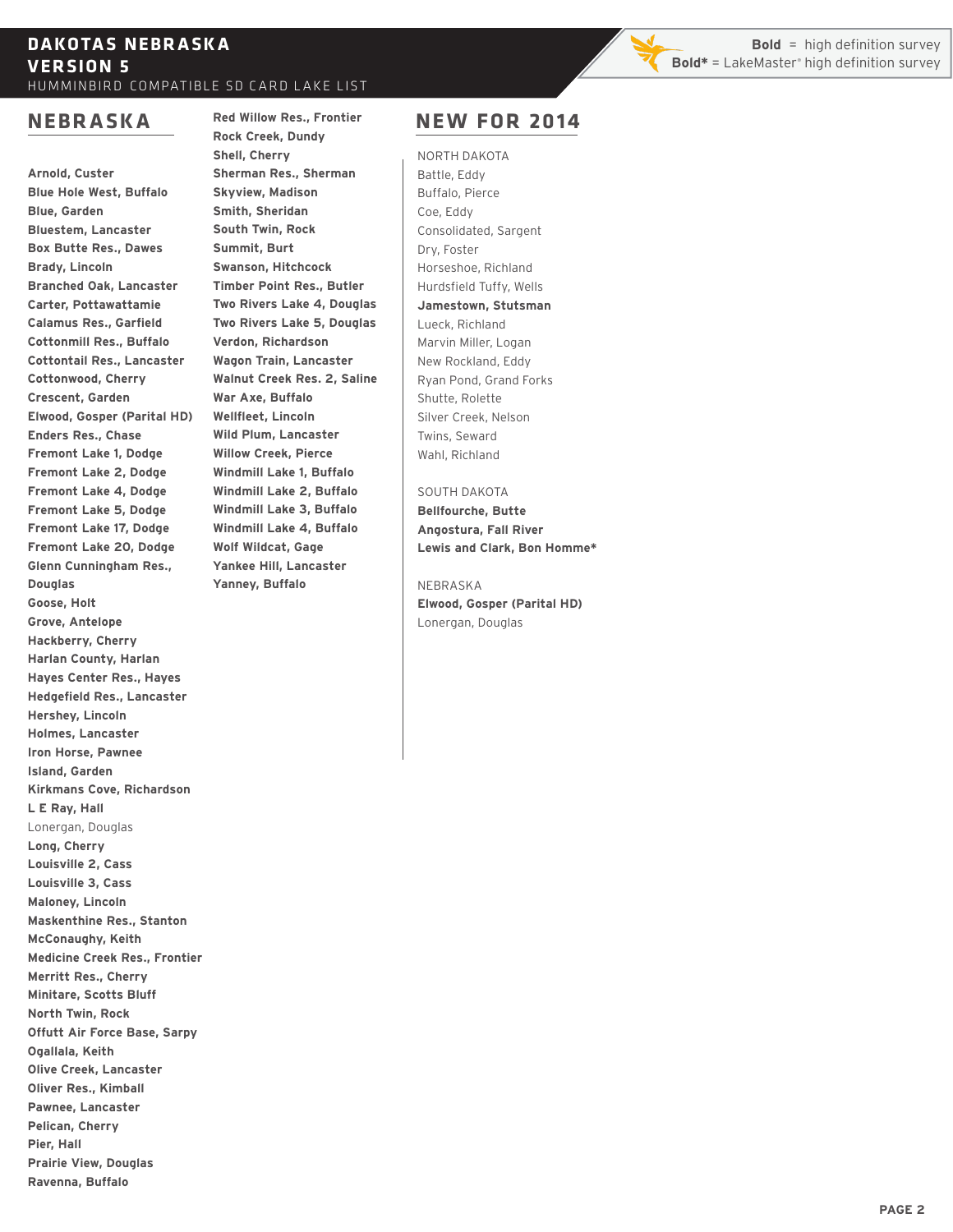## **DA KO TA S NEBR A SK A VERSION 5** HUMMINBIRD COMPATIBLE SD CARD LAKE LIST

# **NEBRASKA**

**Arnold, Custer Blue Hole West, Buffalo Blue, Garden Bluestem, Lancaster Box Butte Res., Dawes Brady, Lincoln Branched Oak, Lancaster Carter, Pottawattamie Calamus Res., Garfield Cottonmill Res., Buffalo Cottontail Res., Lancaster Cottonwood, Cherry Crescent, Garden Elwood, Gosper (Parital HD) Enders Res., Chase Fremont Lake 1, Dodge Fremont Lake 2, Dodge Fremont Lake 4, Dodge Fremont Lake 5, Dodge Fremont Lake 17, Dodge Fremont Lake 20, Dodge Glenn Cunningham Res., Douglas Goose, Holt Grove, Antelope Hackberry, Cherry Harlan County, Harlan Hayes Center Res., Hayes Hedgefield Res., Lancaster Hershey, Lincoln Holmes, Lancaster Iron Horse, Pawnee Island, Garden Kirkmans Cove, Richardson L E Ray, Hall** Lonergan, Douglas **Long, Cherry Louisville 2, Cass Louisville 3, Cass Maloney, Lincoln Maskenthine Res., Stanton McConaughy, Keith Medicine Creek Res., Frontier Merritt Res., Cherry Minitare, Scotts Bluff North Twin, Rock Offutt Air Force Base, Sarpy Ogallala, Keith Olive Creek, Lancaster Oliver Res., Kimball Pawnee, Lancaster Pelican, Cherry Pier, Hall Prairie View, Douglas Ravenna, Buffalo**

## **Red Willow Res., Frontier Rock Creek, Dundy Shell, Cherry Sherman Res., Sherman Skyview, Madison Smith, Sheridan South Twin, Rock Summit, Burt Swanson, Hitchcock Timber Point Res., Butler Two Rivers Lake 4, Douglas Two Rivers Lake 5, Douglas Verdon, Richardson**

**Wagon Train, Lancaster Walnut Creek Res. 2, Saline War Axe, Buffalo Wellfleet, Lincoln Wild Plum, Lancaster Willow Creek, Pierce Windmill Lake 1, Buffalo Windmill Lake 2, Buffalo Windmill Lake 3, Buffalo Windmill Lake 4, Buffalo Wolf Wildcat, Gage Yankee Hill, Lancaster Yanney, Buffalo**

# **NEW FOR 2014**

NORTH DAKOTA Battle, Eddy Buffalo, Pierce Coe, Eddy Consolidated, Sargent Dry, Foster Horseshoe, Richland Hurdsfield Tuffy, Wells **Jamestown, Stutsman** Lueck, Richland Marvin Miller, Logan New Rockland, Eddy Ryan Pond, Grand Forks Shutte, Rolette Silver Creek, Nelson Twins, Seward Wahl, Richland

## SOUTH DAKOTA

**Bellfourche, Butte Angostura, Fall River Lewis and Clark, Bon Homme\***

NEBRASKA **Elwood, Gosper (Parital HD)** Lonergan, Douglas

**Bold** = high definition survey **Bold\*** = LakeMaster<sup>®</sup> high definition survey